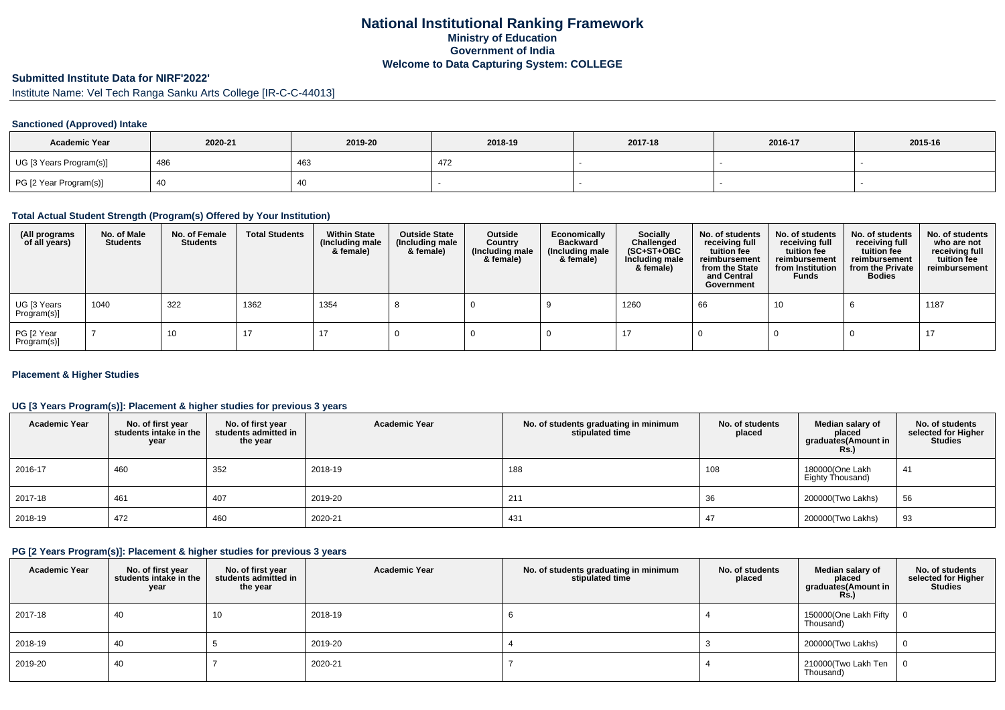## **National Institutional Ranking FrameworkMinistry of Education Government of IndiaWelcome to Data Capturing System: COLLEGE**

# **Submitted Institute Data for NIRF'2022'**

Institute Name: Vel Tech Ranga Sanku Arts College [IR-C-C-44013]

## **Sanctioned (Approved) Intake**

| <b>Academic Year</b>    | 2020-21 | 2019-20 | 2018-19 | 2017-18 | 2016-17 | 2015-16 |
|-------------------------|---------|---------|---------|---------|---------|---------|
| UG [3 Years Program(s)] | 486     | 46ప     |         |         |         |         |
| PG [2 Year Program(s)]  |         | 40      |         |         |         |         |

### **Total Actual Student Strength (Program(s) Offered by Your Institution)**

| (All programs<br>of all years) | No. of Male<br><b>Students</b> | No. of Female<br>Students | <b>Total Students</b> | <b>Within State</b><br>(Including male<br>& female) | <b>Outside State</b><br>(Including male<br>& female) | Outside<br>Country<br>(Including male<br>& female) | Economically<br><b>Backward</b><br>(Including male<br>& female) | <b>Socially</b><br>Challenged<br>$(SC+ST+OBC)$<br>Including male<br>& female) | No. of students<br>receiving full<br>tuition fee<br>reimbursement<br>from the State<br>and Central<br>Government | No. of students<br>receiving full<br>tuition fee<br>reimbursement<br>from Institution<br><b>Funds</b> | No. of students<br>receiving full<br>tuition fee<br>reimbursement<br>from the Private<br><b>Bodies</b> | No. of students<br>who are not<br>receiving full<br>tuition fee<br>reimbursement |
|--------------------------------|--------------------------------|---------------------------|-----------------------|-----------------------------------------------------|------------------------------------------------------|----------------------------------------------------|-----------------------------------------------------------------|-------------------------------------------------------------------------------|------------------------------------------------------------------------------------------------------------------|-------------------------------------------------------------------------------------------------------|--------------------------------------------------------------------------------------------------------|----------------------------------------------------------------------------------|
| UG [3 Years<br>Program(s)]     | 1040                           | 322                       | 1362                  | 1354                                                |                                                      |                                                    |                                                                 | 1260                                                                          | 66                                                                                                               | 10                                                                                                    |                                                                                                        | 1187                                                                             |
| PG [2 Year<br>Program(s)]      |                                | 10                        | 17                    | 17                                                  |                                                      |                                                    |                                                                 |                                                                               |                                                                                                                  |                                                                                                       |                                                                                                        |                                                                                  |

## **Placement & Higher Studies**

## **UG [3 Years Program(s)]: Placement & higher studies for previous 3 years**

| <b>Academic Year</b> | No. of first year<br>students intake in the<br>year | No. of first year<br>students admitted in<br>the year | <b>Academic Year</b> | No. of students graduating in minimum<br>stipulated time | No. of students<br>placed | Median salary of<br>placed<br>graduates(Amount in<br>Rs. | No. of students<br>selected for Higher<br><b>Studies</b> |
|----------------------|-----------------------------------------------------|-------------------------------------------------------|----------------------|----------------------------------------------------------|---------------------------|----------------------------------------------------------|----------------------------------------------------------|
| 2016-17              | 460                                                 | 352                                                   | 2018-19              | 188                                                      | 108                       | 180000(One Lakh<br>Eighty Thousand)                      | 41                                                       |
| 2017-18              | 461                                                 | 407                                                   | 2019-20              | 211                                                      | 36                        | 200000(Two Lakhs)                                        | 56                                                       |
| 2018-19              | 472                                                 | 460                                                   | 2020-21              | 431                                                      | 47                        | 200000(Two Lakhs)                                        | 93                                                       |

#### **PG [2 Years Program(s)]: Placement & higher studies for previous 3 years**

| <b>Academic Year</b> | No. of first year<br>students intake in the<br>year | No. of first year<br>students admitted in<br>the year | <b>Academic Year</b> | No. of students graduating in minimum<br>stipulated time | No. of students<br>placed | Median salary of<br>placed<br>graduates(Amount in<br><b>Rs.)</b> | No. of students<br>selected for Higher<br><b>Studies</b> |
|----------------------|-----------------------------------------------------|-------------------------------------------------------|----------------------|----------------------------------------------------------|---------------------------|------------------------------------------------------------------|----------------------------------------------------------|
| 2017-18              | 40                                                  | 10                                                    | 2018-19              |                                                          |                           | 150000(One Lakh Fifty<br>Thousand)                               | - 0                                                      |
| 2018-19              | 40                                                  |                                                       | 2019-20              |                                                          |                           | 200000(Two Lakhs)                                                |                                                          |
| 2019-20              | 40                                                  |                                                       | 2020-21              |                                                          |                           | 210000(Two Lakh Ten<br>Thousand)                                 |                                                          |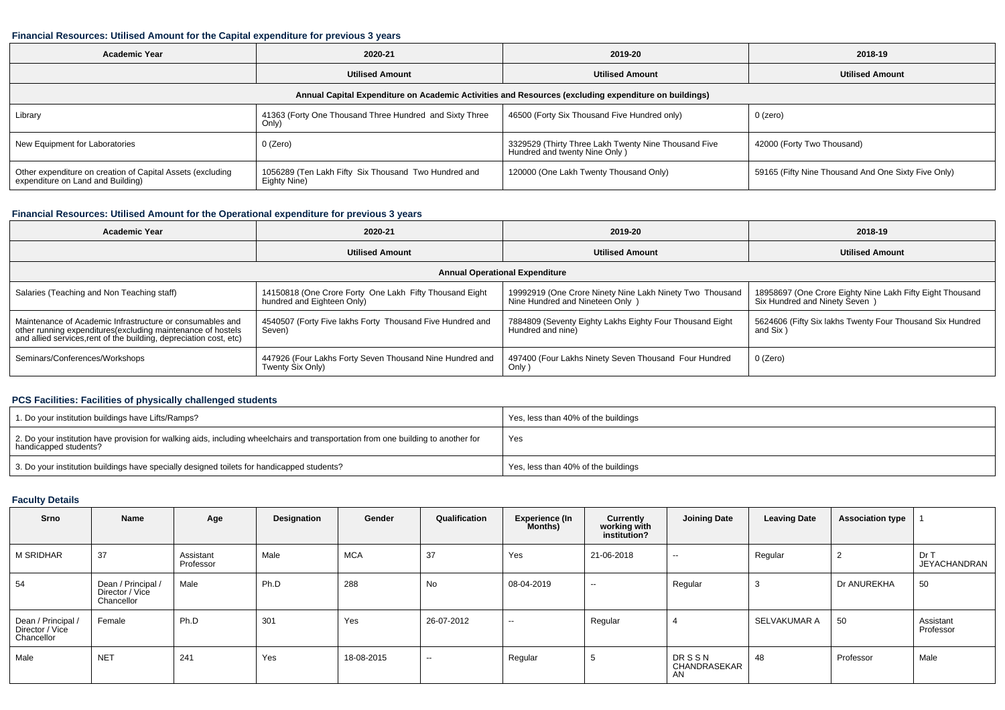## **Financial Resources: Utilised Amount for the Capital expenditure for previous 3 years**

| <b>Academic Year</b>                                                                                 | 2020-21                                                              | 2019-20                                                                               | 2018-19                                             |  |  |  |  |  |  |  |  |  |
|------------------------------------------------------------------------------------------------------|----------------------------------------------------------------------|---------------------------------------------------------------------------------------|-----------------------------------------------------|--|--|--|--|--|--|--|--|--|
|                                                                                                      | <b>Utilised Amount</b>                                               | <b>Utilised Amount</b>                                                                | <b>Utilised Amount</b>                              |  |  |  |  |  |  |  |  |  |
| Annual Capital Expenditure on Academic Activities and Resources (excluding expenditure on buildings) |                                                                      |                                                                                       |                                                     |  |  |  |  |  |  |  |  |  |
| Library                                                                                              | 41363 (Forty One Thousand Three Hundred and Sixty Three<br>Only      | 46500 (Forty Six Thousand Five Hundred only)                                          | $0$ (zero)                                          |  |  |  |  |  |  |  |  |  |
| New Equipment for Laboratories                                                                       | 0 (Zero)                                                             | 3329529 (Thirty Three Lakh Twenty Nine Thousand Five<br>Hundred and twenty Nine Only) | 42000 (Forty Two Thousand)                          |  |  |  |  |  |  |  |  |  |
| Other expenditure on creation of Capital Assets (excluding<br>expenditure on Land and Building)      | 1056289 (Ten Lakh Fifty Six Thousand Two Hundred and<br>Eighty Nine) | 120000 (One Lakh Twenty Thousand Only)                                                | 59165 (Fifty Nine Thousand And One Sixty Five Only) |  |  |  |  |  |  |  |  |  |

# **Financial Resources: Utilised Amount for the Operational expenditure for previous 3 years**

| <b>Academic Year</b>                                                                                                                                                                           | 2020-21                                                                               | 2019-20                                                                                      | 2018-19                                                                                     |  |  |  |  |  |  |  |  |
|------------------------------------------------------------------------------------------------------------------------------------------------------------------------------------------------|---------------------------------------------------------------------------------------|----------------------------------------------------------------------------------------------|---------------------------------------------------------------------------------------------|--|--|--|--|--|--|--|--|
|                                                                                                                                                                                                | <b>Utilised Amount</b>                                                                | <b>Utilised Amount</b>                                                                       | <b>Utilised Amount</b>                                                                      |  |  |  |  |  |  |  |  |
| <b>Annual Operational Expenditure</b>                                                                                                                                                          |                                                                                       |                                                                                              |                                                                                             |  |  |  |  |  |  |  |  |
| Salaries (Teaching and Non Teaching staff)                                                                                                                                                     | 14150818 (One Crore Forty One Lakh Fifty Thousand Eight<br>hundred and Eighteen Only) | 19992919 (One Crore Ninety Nine Lakh Ninety Two Thousand<br>Nine Hundred and Nineteen Only ) | 18958697 (One Crore Eighty Nine Lakh Fifty Eight Thousand<br>Six Hundred and Ninety Seven ) |  |  |  |  |  |  |  |  |
| Maintenance of Academic Infrastructure or consumables and<br>other running expenditures(excluding maintenance of hostels<br>and allied services, rent of the building, depreciation cost, etc) | 4540507 (Forty Five lakhs Forty Thousand Five Hundred and<br>Seven)                   | 7884809 (Seventy Eighty Lakhs Eighty Four Thousand Eight<br>Hundred and nine)                | 5624606 (Fifty Six lakhs Twenty Four Thousand Six Hundred<br>and Six)                       |  |  |  |  |  |  |  |  |
| Seminars/Conferences/Workshops                                                                                                                                                                 | 447926 (Four Lakhs Forty Seven Thousand Nine Hundred and<br>Twenty Six Only)          | 497400 (Four Lakhs Ninety Seven Thousand Four Hundred<br>Only)                               | 0 (Zero)                                                                                    |  |  |  |  |  |  |  |  |

## **PCS Facilities: Facilities of physically challenged students**

| 1. Do your institution buildings have Lifts/Ramps?                                                                                                         | Yes, less than 40% of the buildings |
|------------------------------------------------------------------------------------------------------------------------------------------------------------|-------------------------------------|
| 2. Do your institution have provision for walking aids, including wheelchairs and transportation from one building to another for<br>handicapped students? | Yes                                 |
| 3. Do your institution buildings have specially designed toilets for handicapped students?                                                                 | Yes, less than 40% of the buildings |

## **Faculty Details**

| Srno                                              | Name                                                | Age                    | Designation | Gender     | Qualification | <b>Experience (In</b><br>Months) | Currently<br>working with<br>institution? | <b>Joining Date</b>                | <b>Leaving Date</b> | <b>Association type</b> |                             |
|---------------------------------------------------|-----------------------------------------------------|------------------------|-------------|------------|---------------|----------------------------------|-------------------------------------------|------------------------------------|---------------------|-------------------------|-----------------------------|
| <b>M SRIDHAR</b>                                  | 37                                                  | Assistant<br>Professor | Male        | <b>MCA</b> | 37            | Yes                              | 21-06-2018                                | $- -$                              | Regular             | ▵                       | Dr T<br><b>JEYACHANDRAN</b> |
| 54                                                | Dean / Principal /<br>Director / Vice<br>Chancellor | Male                   | Ph.D        | 288        | No            | 08-04-2019                       | $\overline{\phantom{a}}$                  | Regular                            |                     | Dr ANUREKHA             | 50                          |
| Dean / Principal<br>Director / Vice<br>Chancellor | Female                                              | Ph.D                   | 301         | Yes        | 26-07-2012    | $\sim$                           | Regular                                   |                                    | SELVAKUMAR A        | 50                      | Assistant<br>Professor      |
| Male                                              | <b>NET</b>                                          | 241                    | Yes         | 18-08-2015 | $\sim$        | Regular                          | ◡                                         | <b>DRSSN</b><br>CHANDRASEKAR<br>AN | 48                  | Professor               | Male                        |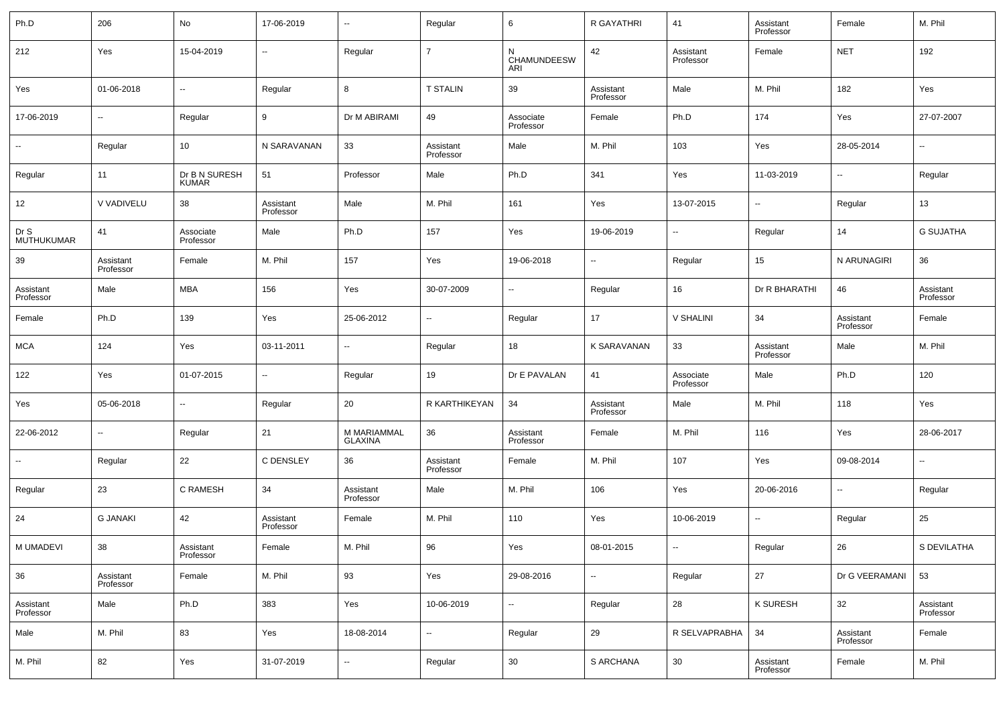| Ph.D                   | 206                    | No                            | 17-06-2019             | $\sim$                        | Regular                  | 6                        | R GAYATHRI               | 41                     | Assistant<br>Professor | Female                 | M. Phil                |
|------------------------|------------------------|-------------------------------|------------------------|-------------------------------|--------------------------|--------------------------|--------------------------|------------------------|------------------------|------------------------|------------------------|
| 212                    | Yes                    | 15-04-2019                    | $\sim$                 | Regular                       | $\overline{7}$           | N<br>CHAMUNDEESW<br>ARI  | 42                       | Assistant<br>Professor | Female                 | <b>NET</b>             | 192                    |
| Yes                    | 01-06-2018             | щ.                            | Regular                | 8                             | <b>T STALIN</b>          | 39                       | Assistant<br>Professor   | Male                   | M. Phil                | 182                    | Yes                    |
| 17-06-2019             | $\sim$                 | Regular                       | 9                      | Dr M ABIRAMI                  | 49                       | Associate<br>Professor   | Female                   | Ph.D                   | 174                    | Yes                    | 27-07-2007             |
| $\sim$                 | Regular                | 10                            | N SARAVANAN            | 33                            | Assistant<br>Professor   | Male                     | M. Phil                  | 103                    | Yes                    | 28-05-2014             | $\sim$                 |
| Regular                | 11                     | Dr B N SURESH<br><b>KUMAR</b> | 51                     | Professor                     | Male                     | Ph.D                     | 341                      | Yes                    | 11-03-2019             | $\sim$                 | Regular                |
| 12                     | V VADIVELU             | 38                            | Assistant<br>Professor | Male                          | M. Phil                  | 161                      | Yes                      | 13-07-2015             | $\sim$                 | Regular                | 13                     |
| Dr S<br>MUTHUKUMAR     | 41                     | Associate<br>Professor        | Male                   | Ph.D                          | 157                      | Yes                      | 19-06-2019               | $\sim$                 | Regular                | 14                     | <b>G SUJATHA</b>       |
| 39                     | Assistant<br>Professor | Female                        | M. Phil                | 157                           | Yes                      | 19-06-2018               | н.                       | Regular                | 15                     | N ARUNAGIRI            | 36                     |
| Assistant<br>Professor | Male                   | <b>MBA</b>                    | 156                    | Yes                           | 30-07-2009               | $\sim$                   | Regular                  | 16                     | Dr R BHARATHI          | 46                     | Assistant<br>Professor |
| Female                 | Ph.D                   | 139                           | Yes                    | 25-06-2012                    | $\overline{\phantom{a}}$ | Regular                  | 17                       | V SHALINI              | 34                     | Assistant<br>Professor | Female                 |
| <b>MCA</b>             | 124                    | Yes                           | 03-11-2011             | ш.                            | Regular                  | 18                       | K SARAVANAN              | 33                     | Assistant<br>Professor | Male                   | M. Phil                |
| 122                    | Yes                    | 01-07-2015                    | $\sim$                 | Regular                       | 19                       | Dr E PAVALAN             | 41                       | Associate<br>Professor | Male                   | Ph.D                   | 120                    |
| Yes                    | 05-06-2018             | щ.                            | Regular                | 20                            | R KARTHIKEYAN            | 34                       | Assistant<br>Professor   | Male                   | M. Phil                | 118                    | Yes                    |
| 22-06-2012             | $\sim$                 | Regular                       | 21                     | M MARIAMMAL<br><b>GLAXINA</b> | 36                       | Assistant<br>Professor   | Female                   | M. Phil                | 116                    | Yes                    | 28-06-2017             |
| $\sim$                 | Regular                | 22                            | C DENSLEY              | 36                            | Assistant<br>Professor   | Female                   | M. Phil                  | 107                    | Yes                    | 09-08-2014             | $\sim$                 |
| Regular                | 23                     | C RAMESH                      | 34                     | Assistant<br>Professor        | Male                     | M. Phil                  | 106                      | Yes                    | 20-06-2016             | $\sim$                 | Regular                |
| 24                     | <b>G JANAKI</b>        | 42                            | Assistant<br>Professor | Female                        | M. Phil                  | 110                      | Yes                      | 10-06-2019             | $\sim$                 | Regular                | 25                     |
| M UMADEVI              | 38                     | Assistant<br>Professor        | Female                 | M. Phil                       | 96                       | Yes                      | 08-01-2015               |                        | Regular                | 26                     | S DEVILATHA            |
| 36                     | Assistant<br>Professor | Female                        | M. Phil                | 93                            | Yes                      | 29-08-2016               | $\overline{\phantom{a}}$ | Regular                | 27                     | Dr G VEERAMANI         | 53                     |
| Assistant<br>Professor | Male                   | Ph.D                          | 383                    | Yes                           | 10-06-2019               | $\overline{\phantom{a}}$ | Regular                  | 28                     | K SURESH               | 32                     | Assistant<br>Professor |
| Male                   | M. Phil                | 83                            | Yes                    | 18-08-2014                    | $\overline{\phantom{a}}$ | Regular                  | 29                       | R SELVAPRABHA          | 34                     | Assistant<br>Professor | Female                 |
| M. Phil                | 82                     | Yes                           | 31-07-2019             | н.                            | Regular                  | 30                       | S ARCHANA                | $30\,$                 | Assistant<br>Professor | Female                 | M. Phil                |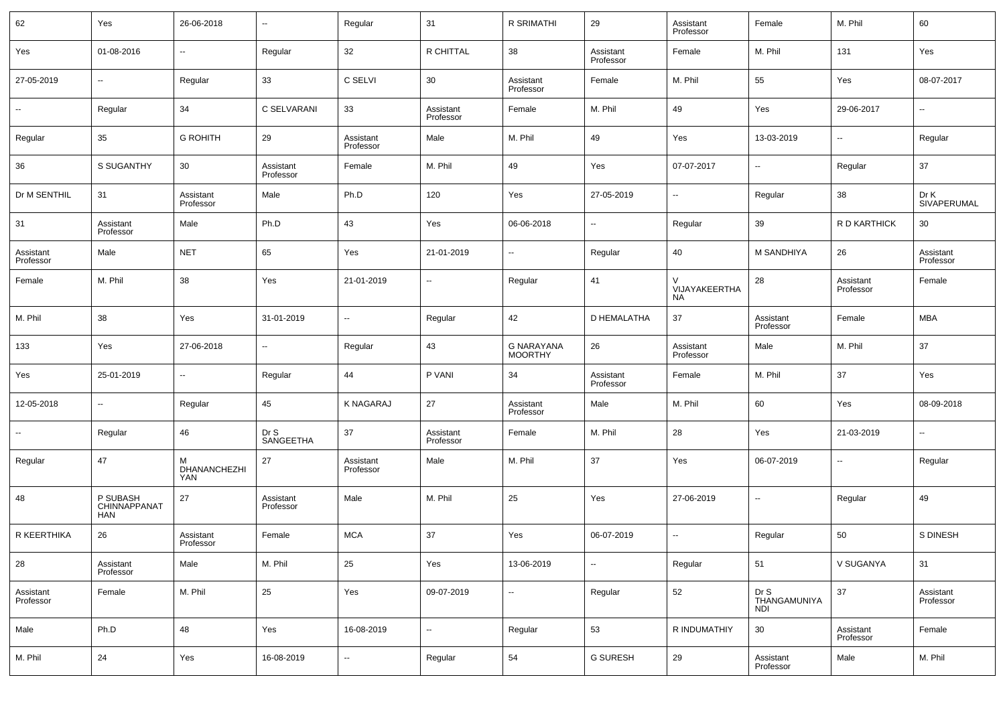| 62                     | Yes                                    | 26-06-2018                      | $\sim$                 | Regular                  | 31                       | R SRIMATHI                          | 29                     | Assistant<br>Professor   | Female                             | M. Phil                | 60                     |
|------------------------|----------------------------------------|---------------------------------|------------------------|--------------------------|--------------------------|-------------------------------------|------------------------|--------------------------|------------------------------------|------------------------|------------------------|
| Yes                    | 01-08-2016                             | -−                              | Regular                | 32                       | R CHITTAL                | 38                                  | Assistant<br>Professor | Female                   | M. Phil                            | 131                    | Yes                    |
| 27-05-2019             | $\sim$                                 | Regular                         | 33                     | C SELVI                  | 30                       | Assistant<br>Professor              | Female                 | M. Phil                  | 55                                 | Yes                    | 08-07-2017             |
|                        | Regular                                | 34                              | C SELVARANI            | 33                       | Assistant<br>Professor   | Female                              | M. Phil                | 49                       | Yes                                | 29-06-2017             | $\sim$                 |
| Regular                | 35                                     | <b>G ROHITH</b>                 | 29                     | Assistant<br>Professor   | Male                     | M. Phil                             | 49                     | Yes                      | 13-03-2019                         |                        | Regular                |
| 36                     | S SUGANTHY                             | 30                              | Assistant<br>Professor | Female                   | M. Phil                  | 49                                  | Yes                    | 07-07-2017               | $\sim$                             | Regular                | 37                     |
| Dr M SENTHIL           | 31                                     | Assistant<br>Professor          | Male                   | Ph.D                     | 120                      | Yes                                 | 27-05-2019             | --                       | Regular                            | 38                     | Dr K<br>SIVAPERUMAL    |
| 31                     | Assistant<br>Professor                 | Male                            | Ph.D                   | 43                       | Yes                      | 06-06-2018                          | ₩.                     | Regular                  | 39                                 | R D KARTHICK           | 30                     |
| Assistant<br>Professor | Male                                   | <b>NET</b>                      | 65                     | Yes                      | 21-01-2019               | --                                  | Regular                | 40                       | M SANDHIYA                         | 26                     | Assistant<br>Professor |
| Female                 | M. Phil                                | 38                              | Yes                    | 21-01-2019               | $\overline{\phantom{a}}$ | Regular                             | 41                     | VIJAYAKEERTHA<br>NA      | 28                                 | Assistant<br>Professor | Female                 |
| M. Phil                | 38                                     | Yes                             | 31-01-2019             | $\sim$                   | Regular                  | 42                                  | D HEMALATHA            | 37                       | Assistant<br>Professor             | Female                 | <b>MBA</b>             |
| 133                    | Yes                                    | 27-06-2018                      | $\sim$                 | Regular                  | 43                       | <b>G NARAYANA</b><br><b>MOORTHY</b> | 26                     | Assistant<br>Professor   | Male                               | M. Phil                | 37                     |
| Yes                    | 25-01-2019                             | $\sim$                          | Regular                | 44                       | P VANI                   | 34                                  | Assistant<br>Professor | Female                   | M. Phil                            | 37                     | Yes                    |
| 12-05-2018             | $\sim$                                 | Regular                         | 45                     | <b>K NAGARAJ</b>         | 27                       | Assistant<br>Professor              | Male                   | M. Phil                  | 60                                 | Yes                    | 08-09-2018             |
| ⊷                      | Regular                                | 46                              | Dr S<br>SANGEETHA      | 37                       | Assistant<br>Professor   | Female                              | M. Phil                | 28                       | Yes                                | 21-03-2019             | $\sim$                 |
| Regular                | 47                                     | М<br>DHANANCHEZHI<br><b>YAN</b> | 27                     | Assistant<br>Professor   | Male                     | M. Phil                             | 37                     | Yes                      | 06-07-2019                         | $\sim$                 | Regular                |
| 48                     | P SUBASH<br>CHINNAPPANAT<br><b>HAN</b> | 27                              | Assistant<br>Professor | Male                     | M. Phil                  | 25                                  | Yes                    | 27-06-2019               | $\sim$                             | Regular                | 49                     |
| R KEERTHIKA            | 26                                     | Assistant<br>Professor          | Female                 | <b>MCA</b>               | 37                       | Yes                                 | 06-07-2019             | $\overline{\phantom{a}}$ | Regular                            | 50                     | S DINESH               |
| 28                     | Assistant<br>Professor                 | Male                            | M. Phil                | 25                       | Yes                      | 13-06-2019                          | Ξ.                     | Regular                  | 51                                 | V SUGANYA              | 31                     |
| Assistant<br>Professor | Female                                 | M. Phil                         | 25                     | Yes                      | 09-07-2019               | ⊶.                                  | Regular                | 52                       | Dr S<br>THANGAMUNIYA<br><b>NDI</b> | 37                     | Assistant<br>Professor |
| Male                   | Ph.D                                   | 48                              | Yes                    | 16-08-2019               | $\overline{\phantom{a}}$ | Regular                             | 53                     | R INDUMATHIY             | 30                                 | Assistant<br>Professor | Female                 |
| M. Phil                | $24\,$                                 | Yes                             | 16-08-2019             | $\overline{\phantom{a}}$ | Regular                  | 54                                  | <b>G SURESH</b>        | 29                       | Assistant<br>Professor             | Male                   | M. Phil                |